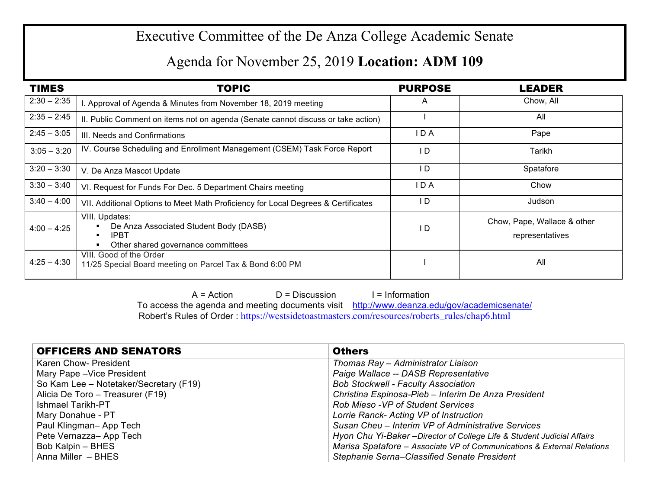## Executive Committee of the De Anza College Academic Senate

## Agenda for November 25, 2019 **Location: ADM 109**

| <b>TIMES</b>  | <b>TOPIC</b>                                                                                                  | <b>PURPOSE</b> | <b>LEADER</b>                                  |
|---------------|---------------------------------------------------------------------------------------------------------------|----------------|------------------------------------------------|
| $2:30 - 2:35$ | . Approval of Agenda & Minutes from November 18, 2019 meeting                                                 | A              | Chow, All                                      |
| $2:35 - 2:45$ | II. Public Comment on items not on agenda (Senate cannot discuss or take action)                              |                | All                                            |
| $2:45 - 3:05$ | III. Needs and Confirmations                                                                                  | IDA            | Pape                                           |
| $3:05 - 3:20$ | IV. Course Scheduling and Enrollment Management (CSEM) Task Force Report                                      | l D            | Tarikh                                         |
| $3:20 - 3:30$ | V. De Anza Mascot Update                                                                                      | I D            | Spatafore                                      |
| $3:30 - 3:40$ | VI. Request for Funds For Dec. 5 Department Chairs meeting                                                    | IDA            | Chow                                           |
| $3:40 - 4:00$ | VII. Additional Options to Meet Math Proficiency for Local Degrees & Certificates                             | I D            | Judson                                         |
| $4:00 - 4:25$ | VIII. Updates:<br>De Anza Associated Student Body (DASB)<br><b>IPBT</b><br>Other shared governance committees | I D            | Chow, Pape, Wallace & other<br>representatives |
| $4:25 - 4:30$ | VIII. Good of the Order<br>11/25 Special Board meeting on Parcel Tax & Bond 6:00 PM                           |                | All                                            |

 $A = Action$   $D = Discussion$  I = Information To access the agenda and meeting documents visit http://www.deanza.edu/gov/academicsenate/ Robert's Rules of Order : https://westsidetoastmasters.com/resources/roberts\_rules/chap6.html

| <b>OFFICERS AND SENATORS</b>           | <b>Others</b>                                                           |
|----------------------------------------|-------------------------------------------------------------------------|
| Karen Chow- President                  | Thomas Ray - Administrator Liaison                                      |
| Mary Pape - Vice President             | Paige Wallace -- DASB Representative                                    |
| So Kam Lee - Notetaker/Secretary (F19) | <b>Bob Stockwell - Faculty Association</b>                              |
| Alicia De Toro - Treasurer (F19)       | Christina Espinosa-Pieb - Interim De Anza President                     |
| <b>Ishmael Tarikh-PT</b>               | <b>Rob Mieso -VP of Student Services</b>                                |
| Mary Donahue - PT                      | Lorrie Ranck- Acting VP of Instruction                                  |
| Paul Klingman-App Tech                 | Susan Cheu - Interim VP of Administrative Services                      |
| Pete Vernazza-App Tech                 | Hyon Chu Yi-Baker - Director of College Life & Student Judicial Affairs |
| Bob Kalpin - BHES                      | Marisa Spatafore - Associate VP of Communications & External Relations  |
| Anna Miller - BHES                     | Stephanie Serna-Classified Senate President                             |